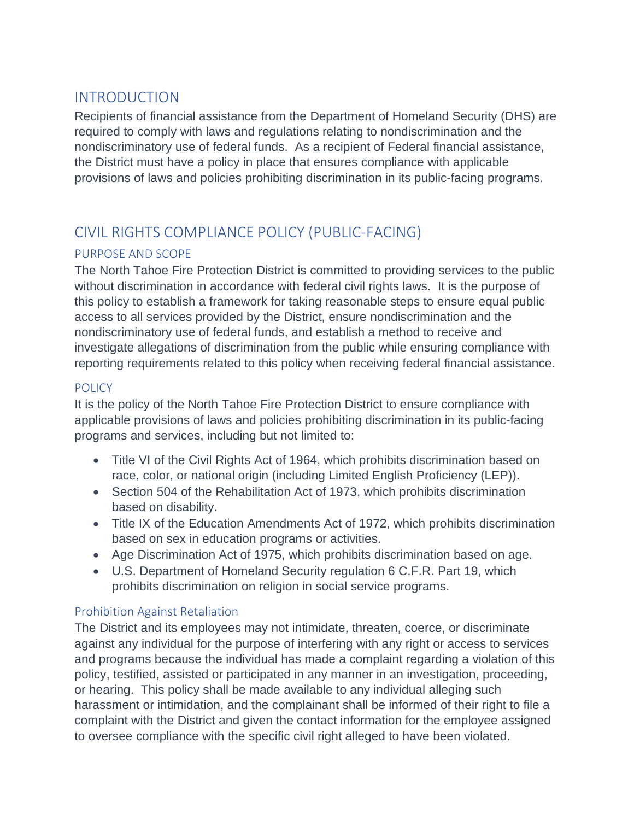## INTRODUCTION

Recipients of financial assistance from the Department of Homeland Security (DHS) are required to comply with laws and regulations relating to nondiscrimination and the nondiscriminatory use of federal funds. As a recipient of Federal financial assistance, the District must have a policy in place that ensures compliance with applicable provisions of laws and policies prohibiting discrimination in its public-facing programs.

# CIVIL RIGHTS COMPLIANCE POLICY (PUBLIC-FACING)

### PURPOSE AND SCOPE

The North Tahoe Fire Protection District is committed to providing services to the public without discrimination in accordance with federal civil rights laws. It is the purpose of this policy to establish a framework for taking reasonable steps to ensure equal public access to all services provided by the District, ensure nondiscrimination and the nondiscriminatory use of federal funds, and establish a method to receive and investigate allegations of discrimination from the public while ensuring compliance with reporting requirements related to this policy when receiving federal financial assistance.

### **POLICY**

It is the policy of the North Tahoe Fire Protection District to ensure compliance with applicable provisions of laws and policies prohibiting discrimination in its public-facing programs and services, including but not limited to:

- Title VI of the Civil Rights Act of 1964, which prohibits discrimination based on race, color, or national origin (including Limited English Proficiency (LEP)).
- Section 504 of the Rehabilitation Act of 1973, which prohibits discrimination based on disability.
- Title IX of the Education Amendments Act of 1972, which prohibits discrimination based on sex in education programs or activities.
- Age Discrimination Act of 1975, which prohibits discrimination based on age.
- U.S. Department of Homeland Security regulation 6 C.F.R. Part 19, which prohibits discrimination on religion in social service programs.

### Prohibition Against Retaliation

The District and its employees may not intimidate, threaten, coerce, or discriminate against any individual for the purpose of interfering with any right or access to services and programs because the individual has made a complaint regarding a violation of this policy, testified, assisted or participated in any manner in an investigation, proceeding, or hearing. This policy shall be made available to any individual alleging such harassment or intimidation, and the complainant shall be informed of their right to file a complaint with the District and given the contact information for the employee assigned to oversee compliance with the specific civil right alleged to have been violated.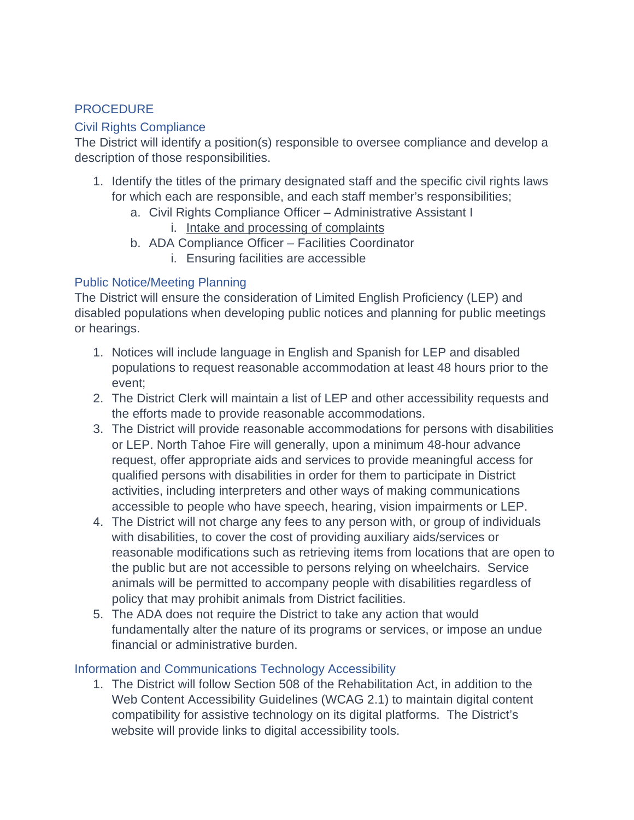### PROCEDURE

#### Civil Rights Compliance

The District will identify a position(s) responsible to oversee compliance and develop a description of those responsibilities.

- 1. Identify the titles of the primary designated staff and the specific civil rights laws for which each are responsible, and each staff member's responsibilities;
	- a. Civil Rights Compliance Officer Administrative Assistant I
		- i. [Intake and processing of complaints](#page-2-0)
	- b. ADA Compliance Officer Facilities Coordinator
		- i. Ensuring facilities are accessible

#### Public Notice/Meeting Planning

The District will ensure the consideration of Limited English Proficiency (LEP) and disabled populations when developing public notices and planning for public meetings or hearings.

- 1. Notices will include language in English and Spanish for LEP and disabled populations to request reasonable accommodation at least 48 hours prior to the event;
- 2. The District Clerk will maintain a list of LEP and other accessibility requests and the efforts made to provide reasonable accommodations.
- 3. The District will provide reasonable accommodations for persons with disabilities or LEP. North Tahoe Fire will generally, upon a minimum 48-hour advance request, offer appropriate aids and services to provide meaningful access for qualified persons with disabilities in order for them to participate in District activities, including interpreters and other ways of making communications accessible to people who have speech, hearing, vision impairments or LEP.
- 4. The District will not charge any fees to any person with, or group of individuals with disabilities, to cover the cost of providing auxiliary aids/services or reasonable modifications such as retrieving items from locations that are open to the public but are not accessible to persons relying on wheelchairs. Service animals will be permitted to accompany people with disabilities regardless of policy that may prohibit animals from District facilities.
- 5. The ADA does not require the District to take any action that would fundamentally alter the nature of its programs or services, or impose an undue financial or administrative burden.

#### Information and Communications Technology Accessibility

1. The District will follow Section 508 of the Rehabilitation Act, in addition to the Web Content Accessibility Guidelines (WCAG 2.1) to maintain digital content compatibility for assistive technology on its digital platforms. The District's website will provide links to digital accessibility tools.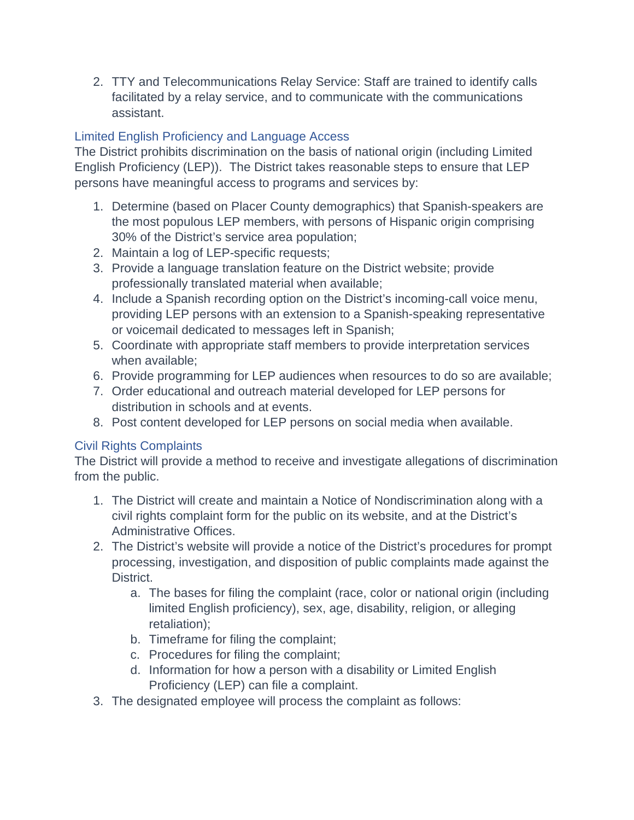2. TTY and Telecommunications Relay Service: Staff are trained to identify calls facilitated by a relay service, and to communicate with the communications assistant.

### Limited English Proficiency and Language Access

The District prohibits discrimination on the basis of national origin (including Limited English Proficiency (LEP)). The District takes reasonable steps to ensure that LEP persons have meaningful access to programs and services by:

- 1. Determine (based on Placer County demographics) that Spanish-speakers are the most populous LEP members, with persons of Hispanic origin comprising 30% of the District's service area population;
- 2. Maintain a log of LEP-specific requests;
- 3. Provide a language translation feature on the District website; provide professionally translated material when available;
- 4. Include a Spanish recording option on the District's incoming-call voice menu, providing LEP persons with an extension to a Spanish-speaking representative or voicemail dedicated to messages left in Spanish;
- 5. Coordinate with appropriate staff members to provide interpretation services when available;
- 6. Provide programming for LEP audiences when resources to do so are available;
- 7. Order educational and outreach material developed for LEP persons for distribution in schools and at events.
- 8. Post content developed for LEP persons on social media when available.

### <span id="page-2-0"></span>Civil Rights Complaints

The District will provide a method to receive and investigate allegations of discrimination from the public.

- 1. The District will create and maintain a Notice of Nondiscrimination along with a civil rights complaint form for the public on its website, and at the District's Administrative Offices.
- 2. The District's website will provide a notice of the District's procedures for prompt processing, investigation, and disposition of public complaints made against the District.
	- a. The bases for filing the complaint (race, color or national origin (including limited English proficiency), sex, age, disability, religion, or alleging retaliation);
	- b. Timeframe for filing the complaint;
	- c. Procedures for filing the complaint;
	- d. Information for how a person with a disability or Limited English Proficiency (LEP) can file a complaint.
- 3. The designated employee will process the complaint as follows: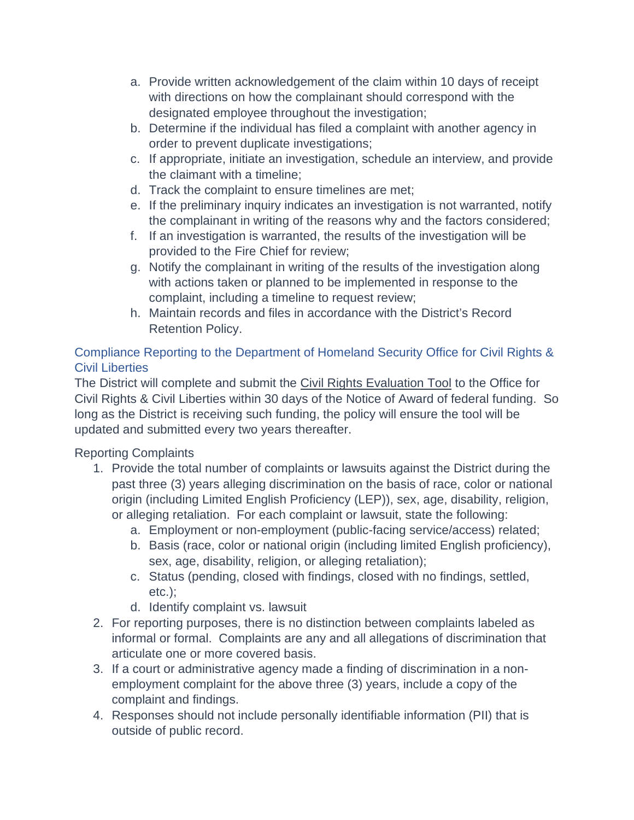- a. Provide written acknowledgement of the claim within 10 days of receipt with directions on how the complainant should correspond with the designated employee throughout the investigation;
- b. Determine if the individual has filed a complaint with another agency in order to prevent duplicate investigations;
- c. If appropriate, initiate an investigation, schedule an interview, and provide the claimant with a timeline;
- d. Track the complaint to ensure timelines are met;
- e. If the preliminary inquiry indicates an investigation is not warranted, notify the complainant in writing of the reasons why and the factors considered;
- f. If an investigation is warranted, the results of the investigation will be provided to the Fire Chief for review;
- g. Notify the complainant in writing of the results of the investigation along with actions taken or planned to be implemented in response to the complaint, including a timeline to request review;
- h. Maintain records and files in accordance with the District's Record Retention Policy.

### Compliance Reporting to the Department of Homeland Security Office for Civil Rights & Civil Liberties

The District will complete and submit the [Civil Rights Evaluation Tool](https://www.dhs.gov/sites/default/files/publications/dhs-civil-rights-evaluation-tool.pdf) to the Office for Civil Rights & Civil Liberties within 30 days of the Notice of Award of federal funding. So long as the District is receiving such funding, the policy will ensure the tool will be updated and submitted every two years thereafter.

### Reporting Complaints

- 1. Provide the total number of complaints or lawsuits against the District during the past three (3) years alleging discrimination on the basis of race, color or national origin (including Limited English Proficiency (LEP)), sex, age, disability, religion, or alleging retaliation. For each complaint or lawsuit, state the following:
	- a. Employment or non-employment (public-facing service/access) related;
	- b. Basis (race, color or national origin (including limited English proficiency), sex, age, disability, religion, or alleging retaliation);
	- c. Status (pending, closed with findings, closed with no findings, settled, etc.);
	- d. Identify complaint vs. lawsuit
- 2. For reporting purposes, there is no distinction between complaints labeled as informal or formal. Complaints are any and all allegations of discrimination that articulate one or more covered basis.
- 3. If a court or administrative agency made a finding of discrimination in a nonemployment complaint for the above three (3) years, include a copy of the complaint and findings.
- 4. Responses should not include personally identifiable information (PII) that is outside of public record.